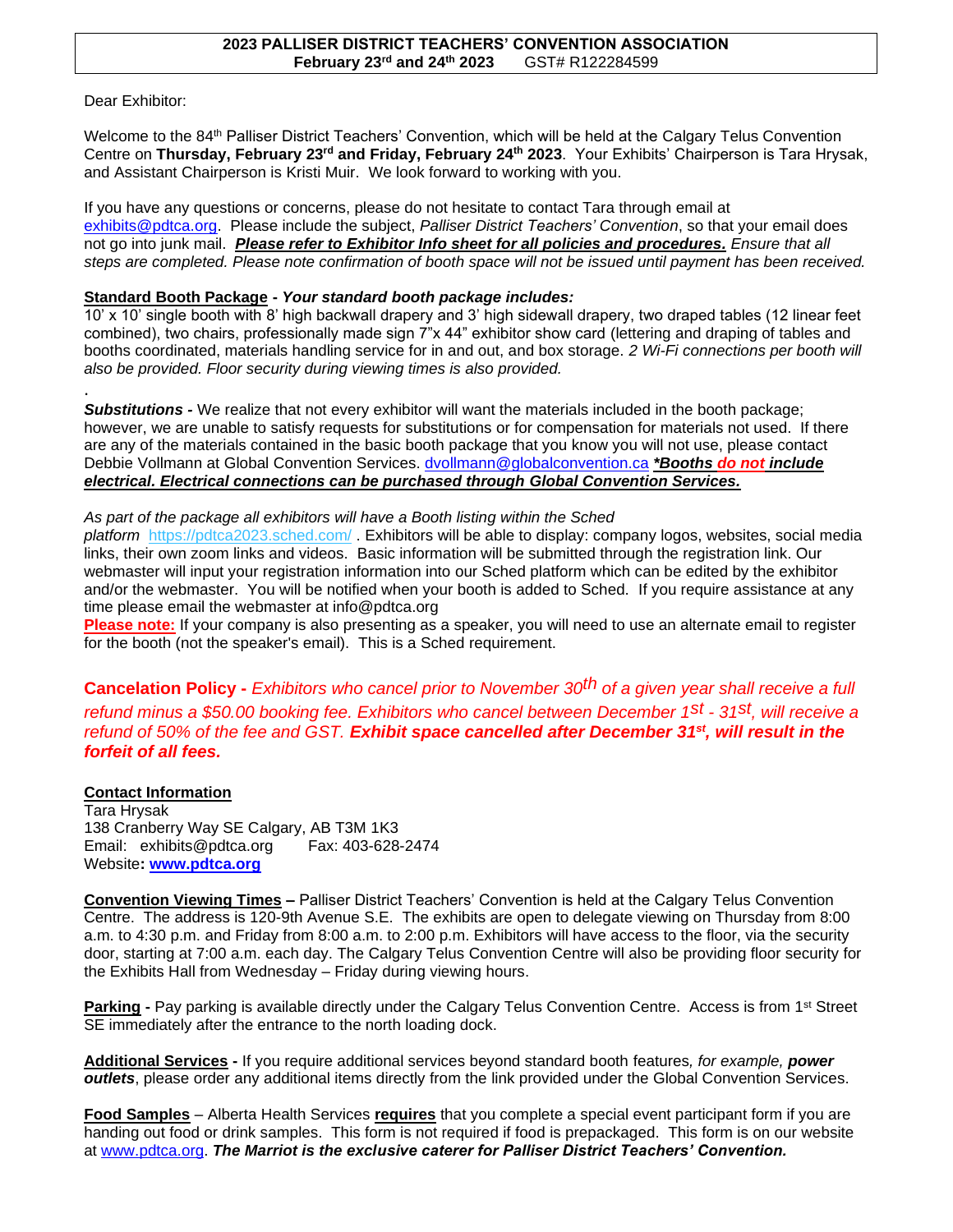## **2023 PALLISER DISTRICT TEACHERS' CONVENTION ASSOCIATION February 23rd and 24th 2023** GST# R122284599

Dear Exhibitor:

.

Welcome to the 84<sup>th</sup> Palliser District Teachers' Convention, which will be held at the Calgary Telus Convention Centre on **Thursday, February 23rd and Friday, February 24th 2023**. Your Exhibits' Chairperson is Tara Hrysak, and Assistant Chairperson is Kristi Muir. We look forward to working with you.

If you have any questions or concerns, please do not hesitate to contact Tara through email at [exhibits@pdtca.org.](mailto:exhibits@pdtca.org) Please include the subject, *Palliser District Teachers' Convention*, so that your email does not go into junk mail. *Please refer to Exhibitor Info sheet for all policies and procedures. Ensure that all steps are completed. Please note confirmation of booth space will not be issued until payment has been received.*

## **Standard Booth Package -** *Your standard booth package includes:*

10' x 10' single booth with 8' high backwall drapery and 3' high sidewall drapery, two draped tables (12 linear feet combined), two chairs, professionally made sign 7"x 44" exhibitor show card (lettering and draping of tables and booths coordinated, materials handling service for in and out, and box storage. *2 Wi-Fi connections per booth will also be provided. Floor security during viewing times is also provided.*

*Substitutions -* We realize that not every exhibitor will want the materials included in the booth package; however, we are unable to satisfy requests for substitutions or for compensation for materials not used. If there are any of the materials contained in the basic booth package that you know you will not use, please contact Debbie Vollmann at Global Convention Services. [dvollmann@globalconvention.ca](mailto:dvollmann@globalconvention.ca) *\*Booths do not include electrical. Electrical connections can be purchased through Global Convention Services.*

## *As part of the package all exhibitors will have a Booth listing within the Sched*

*platform* <https://pdtca2023.sched.com/> . Exhibitors will be able to display: company logos, websites, social media links, their own zoom links and videos. Basic information will be submitted through the registration link. Our webmaster will input your registration information into our Sched platform which can be edited by the exhibitor and/or the webmaster. You will be notified when your booth is added to Sched. If you require assistance at any time please email the webmaster at info@pdtca.org

**Please note:** If your company is also presenting as a speaker, you will need to use an alternate email to register for the booth (not the speaker's email). This is a Sched requirement.

**Cancelation Policy -** *Exhibitors who cancel prior to November 30th of a given year shall receive a full refund minus a \$50.00 booking fee. Exhibitors who cancel between December 1st - 31st, will receive a*  refund of 50% of the fee and GST. Exhibit space cancelled after December 31<sup>st</sup>, will result in the *forfeit of all fees.* 

## **Contact Information**

Tara Hrysak 138 Cranberry Way SE Calgary, AB T3M 1K3 Email: exhibits@pdtca.org Fax: 403-628-2474 Website**: [www.pdtca.org](http://www.pdtca.org/)**

**Convention Viewing Times –** Palliser District Teachers' Convention is held at the Calgary Telus Convention Centre. The address is 120-9th Avenue S.E. The exhibits are open to delegate viewing on Thursday from 8:00 a.m. to 4:30 p.m. and Friday from 8:00 a.m. to 2:00 p.m. Exhibitors will have access to the floor, via the security door, starting at 7:00 a.m. each day. The Calgary Telus Convention Centre will also be providing floor security for the Exhibits Hall from Wednesday – Friday during viewing hours.

**Parking -** Pay parking is available directly under the Calgary Telus Convention Centre. Access is from 1st Street SE immediately after the entrance to the north loading dock.

**Additional Services -** If you require additional services beyond standard booth features*, for example, power outlets*, please order any additional items directly from the link provided under the Global Convention Services.

**Food Samples** – Alberta Health Services **requires** that you complete a special event participant form if you are handing out food or drink samples. This form is not required if food is prepackaged. This form is on our website at [www.pdtca.org.](http://www.pdtca.org/) *The Marriot is the exclusive caterer for Palliser District Teachers' Convention.*